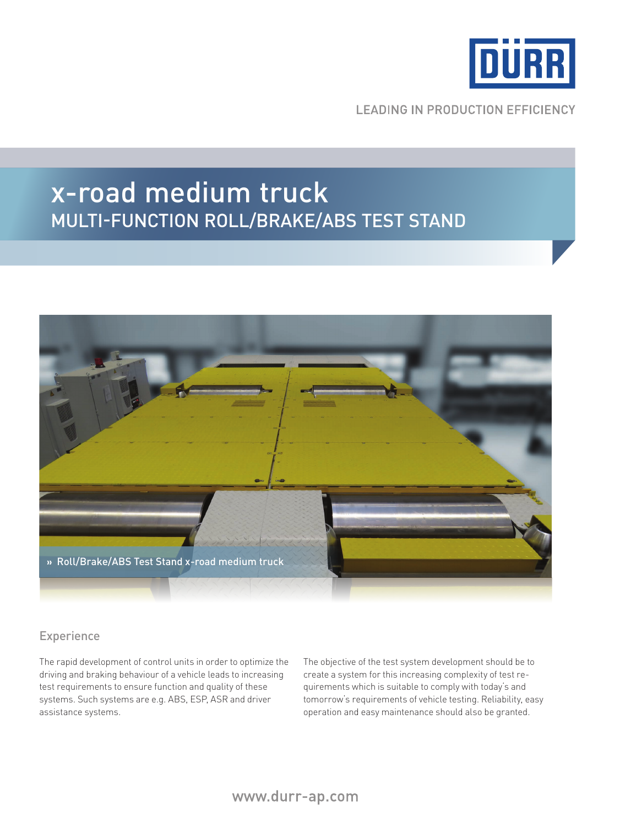

**LEADING IN PRODUCTION EFFICIENCY** 

# x-road medium truck Multi-function roll/brake/abs test stand



## Experience

The rapid development of control units in order to optimize the driving and braking behaviour of a vehicle leads to increasing test requirements to ensure function and quality of these systems. Such systems are e.g. ABS, ESP, ASR and driver assistance systems.

The objective of the test system development should be to create a system for this increasing complexity of test requirements which is suitable to comply with today's and tomorrow's requirements of vehicle testing. Reliability, easy operation and easy maintenance should also be granted.